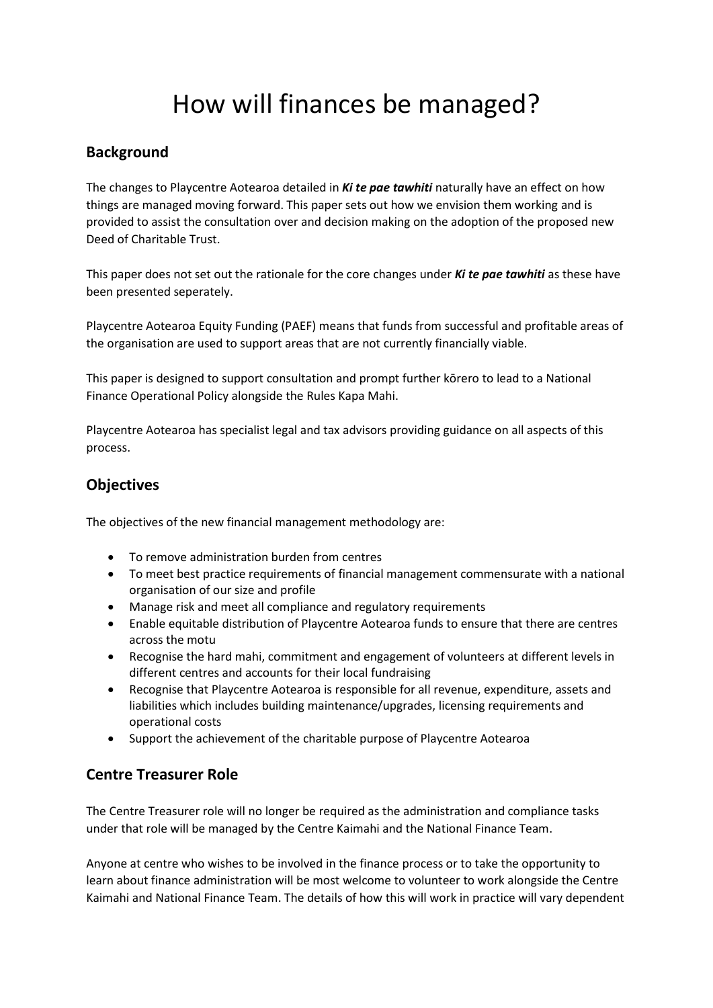# How will finances be managed?

# **Background**

The changes to Playcentre Aotearoa detailed in *Ki te pae tawhiti* naturally have an effect on how things are managed moving forward. This paper sets out how we envision them working and is provided to assist the consultation over and decision making on the adoption of the proposed new Deed of Charitable Trust.

This paper does not set out the rationale for the core changes under *Ki te pae tawhiti* as these have been presented seperately.

Playcentre Aotearoa Equity Funding (PAEF) means that funds from successful and profitable areas of the organisation are used to support areas that are not currently financially viable.

This paper is designed to support consultation and prompt further kōrero to lead to a National Finance Operational Policy alongside the Rules Kapa Mahi.

Playcentre Aotearoa has specialist legal and tax advisors providing guidance on all aspects of this process.

## **Objectives**

The objectives of the new financial management methodology are:

- To remove administration burden from centres
- To meet best practice requirements of financial management commensurate with a national organisation of our size and profile
- Manage risk and meet all compliance and regulatory requirements
- Enable equitable distribution of Playcentre Aotearoa funds to ensure that there are centres across the motu
- Recognise the hard mahi, commitment and engagement of volunteers at different levels in different centres and accounts for their local fundraising
- Recognise that Playcentre Aotearoa is responsible for all revenue, expenditure, assets and liabilities which includes building maintenance/upgrades, licensing requirements and operational costs
- Support the achievement of the charitable purpose of Playcentre Aotearoa

# **Centre Treasurer Role**

The Centre Treasurer role will no longer be required as the administration and compliance tasks under that role will be managed by the Centre Kaimahi and the National Finance Team.

Anyone at centre who wishes to be involved in the finance process or to take the opportunity to learn about finance administration will be most welcome to volunteer to work alongside the Centre Kaimahi and National Finance Team. The details of how this will work in practice will vary dependent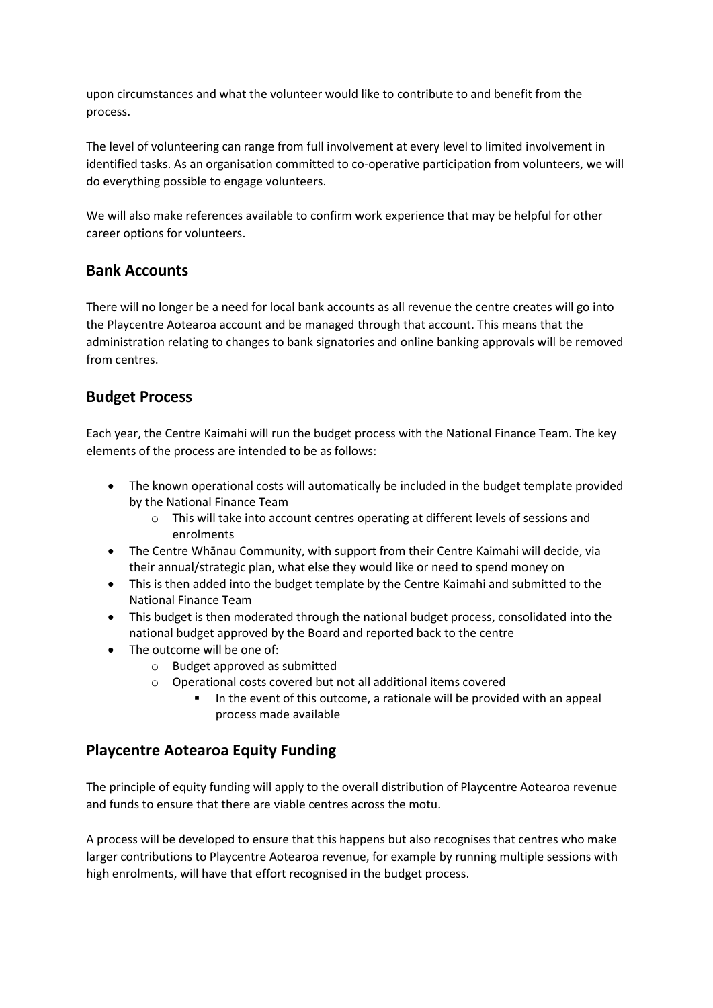upon circumstances and what the volunteer would like to contribute to and benefit from the process.

The level of volunteering can range from full involvement at every level to limited involvement in identified tasks. As an organisation committed to co-operative participation from volunteers, we will do everything possible to engage volunteers.

We will also make references available to confirm work experience that may be helpful for other career options for volunteers.

#### **Bank Accounts**

There will no longer be a need for local bank accounts as all revenue the centre creates will go into the Playcentre Aotearoa account and be managed through that account. This means that the administration relating to changes to bank signatories and online banking approvals will be removed from centres.

#### **Budget Process**

Each year, the Centre Kaimahi will run the budget process with the National Finance Team. The key elements of the process are intended to be as follows:

- The known operational costs will automatically be included in the budget template provided by the National Finance Team
	- o This will take into account centres operating at different levels of sessions and enrolments
- The Centre Whānau Community, with support from their Centre Kaimahi will decide, via their annual/strategic plan, what else they would like or need to spend money on
- This is then added into the budget template by the Centre Kaimahi and submitted to the National Finance Team
- This budget is then moderated through the national budget process, consolidated into the national budget approved by the Board and reported back to the centre
- The outcome will be one of:
	- o Budget approved as submitted
	- o Operational costs covered but not all additional items covered
		- In the event of this outcome, a rationale will be provided with an appeal process made available

## **Playcentre Aotearoa Equity Funding**

The principle of equity funding will apply to the overall distribution of Playcentre Aotearoa revenue and funds to ensure that there are viable centres across the motu.

A process will be developed to ensure that this happens but also recognises that centres who make larger contributions to Playcentre Aotearoa revenue, for example by running multiple sessions with high enrolments, will have that effort recognised in the budget process.